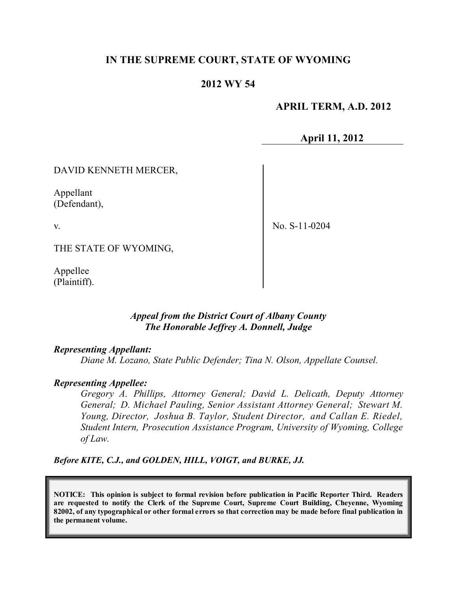# **IN THE SUPREME COURT, STATE OF WYOMING**

## **2012 WY 54**

## **APRIL TERM, A.D. 2012**

**April 11, 2012**

## DAVID KENNETH MERCER,

Appellant (Defendant),

v.

No. S-11-0204

THE STATE OF WYOMING,

Appellee (Plaintiff).

## *Appeal from the District Court of Albany County The Honorable Jeffrey A. Donnell, Judge*

#### *Representing Appellant:*

*Diane M. Lozano, State Public Defender; Tina N. Olson, Appellate Counsel.*

#### *Representing Appellee:*

*Gregory A. Phillips, Attorney General; David L. Delicath, Deputy Attorney General; D. Michael Pauling, Senior Assistant Attorney General; Stewart M. Young, Director, Joshua B. Taylor, Student Director, and Callan E. Riedel, Student Intern, Prosecution Assistance Program, University of Wyoming, College of Law.*

*Before KITE, C.J., and GOLDEN, HILL, VOIGT, and BURKE, JJ.*

**NOTICE: This opinion is subject to formal revision before publication in Pacific Reporter Third. Readers are requested to notify the Clerk of the Supreme Court, Supreme Court Building, Cheyenne, Wyoming** 82002, of any typographical or other formal errors so that correction may be made before final publication in **the permanent volume.**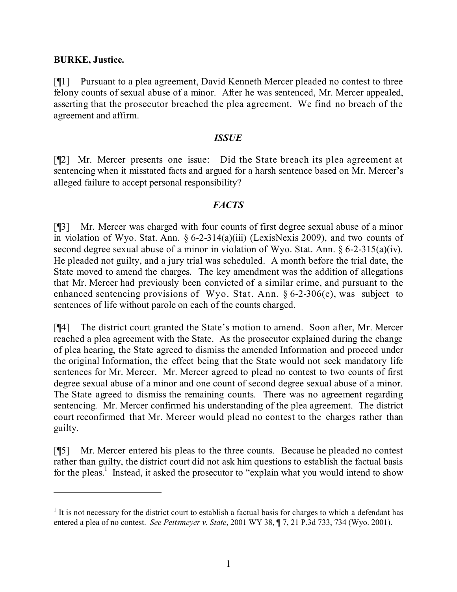## **BURKE, Justice.**

[¶1] Pursuant to a plea agreement, David Kenneth Mercer pleaded no contest to three felony counts of sexual abuse of a minor. After he was sentenced, Mr. Mercer appealed, asserting that the prosecutor breached the plea agreement. We find no breach of the agreement and affirm.

#### *ISSUE*

[¶2] Mr. Mercer presents one issue: Did the State breach its plea agreement at sentencing when it misstated facts and argued for a harsh sentence based on Mr. Mercer's alleged failure to accept personal responsibility?

## *FACTS*

[¶3] Mr. Mercer was charged with four counts of first degree sexual abuse of a minor in violation of Wyo. Stat. Ann. § 6-2-314(a)(iii) (LexisNexis 2009), and two counts of second degree sexual abuse of a minor in violation of Wyo. Stat. Ann. § 6-2-315(a)(iv). He pleaded not guilty, and a jury trial was scheduled. A month before the trial date, the State moved to amend the charges. The key amendment was the addition of allegations that Mr. Mercer had previously been convicted of a similar crime, and pursuant to the enhanced sentencing provisions of Wyo. Stat. Ann. § 6-2-306(e), was subject to sentences of life without parole on each of the counts charged.

[¶4] The district court granted the State's motion to amend. Soon after, Mr. Mercer reached a plea agreement with the State. As the prosecutor explained during the change of plea hearing, the State agreed to dismiss the amended Information and proceed under the original Information, the effect being that the State would not seek mandatory life sentences for Mr. Mercer. Mr. Mercer agreed to plead no contest to two counts of first degree sexual abuse of a minor and one count of second degree sexual abuse of a minor. The State agreed to dismiss the remaining counts. There was no agreement regarding sentencing. Mr. Mercer confirmed his understanding of the plea agreement. The district court reconfirmed that Mr. Mercer would plead no contest to the charges rather than guilty.

[¶5] Mr. Mercer entered his pleas to the three counts. Because he pleaded no contest rather than guilty, the district court did not ask him questions to establish the factual basis for the pleas.<sup>1</sup> Instead, it asked the prosecutor to "explain what you would intend to show

<sup>&</sup>lt;sup>1</sup> It is not necessary for the district court to establish a factual basis for charges to which a defendant has entered a plea of no contest. *See Peitsmeyer v. State*, 2001 WY 38, ¶ 7, 21 P.3d 733, 734 (Wyo. 2001).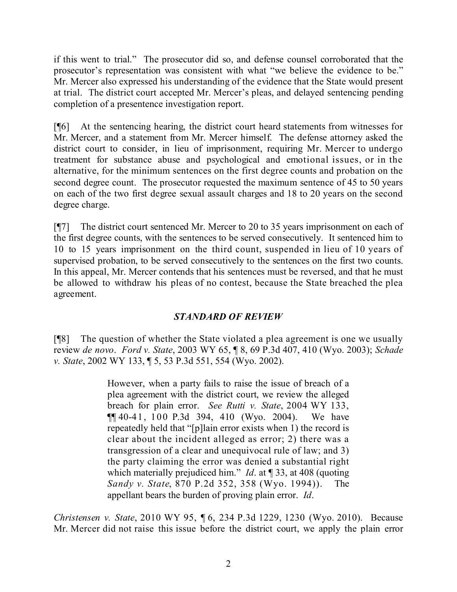if this went to trial." The prosecutor did so, and defense counsel corroborated that the prosecutor's representation was consistent with what "we believe the evidence to be." Mr. Mercer also expressed his understanding of the evidence that the State would present at trial. The district court accepted Mr. Mercer's pleas, and delayed sentencing pending completion of a presentence investigation report.

[¶6] At the sentencing hearing, the district court heard statements from witnesses for Mr. Mercer, and a statement from Mr. Mercer himself. The defense attorney asked the district court to consider, in lieu of imprisonment, requiring Mr. Mercer to undergo treatment for substance abuse and psychological and emotional issues, or in the alternative, for the minimum sentences on the first degree counts and probation on the second degree count. The prosecutor requested the maximum sentence of 45 to 50 years on each of the two first degree sexual assault charges and 18 to 20 years on the second degree charge.

[¶7] The district court sentenced Mr. Mercer to 20 to 35 years imprisonment on each of the first degree counts, with the sentences to be served consecutively. It sentenced him to 10 to 15 years imprisonment on the third count, suspended in lieu of 10 years of supervised probation, to be served consecutively to the sentences on the first two counts. In this appeal, Mr. Mercer contends that his sentences must be reversed, and that he must be allowed to withdraw his pleas of no contest, because the State breached the plea agreement.

# *STANDARD OF REVIEW*

[¶8] The question of whether the State violated a plea agreement is one we usually review *de novo*. *Ford v. State*, 2003 WY 65, ¶ 8, 69 P.3d 407, 410 (Wyo. 2003); *Schade v. State*, 2002 WY 133, ¶ 5, 53 P.3d 551, 554 (Wyo. 2002).

> However, when a party fails to raise the issue of breach of a plea agreement with the district court, we review the alleged breach for plain error. *See Rutti v. State*, 2004 WY 133, ¶¶ 40-41, 100 P.3d 394, 410 (Wyo. 2004). We have repeatedly held that "[p]lain error exists when 1) the record is clear about the incident alleged as error; 2) there was a transgression of a clear and unequivocal rule of law; and 3) the party claiming the error was denied a substantial right which materially prejudiced him." *Id*. at ¶ 33, at 408 (quoting *Sandy v. State*, 870 P.2d 352, 358 (Wyo. 1994)). The appellant bears the burden of proving plain error. *Id*.

*Christensen v. State*, 2010 WY 95, ¶ 6, 234 P.3d 1229, 1230 (Wyo. 2010). Because Mr. Mercer did not raise this issue before the district court, we apply the plain error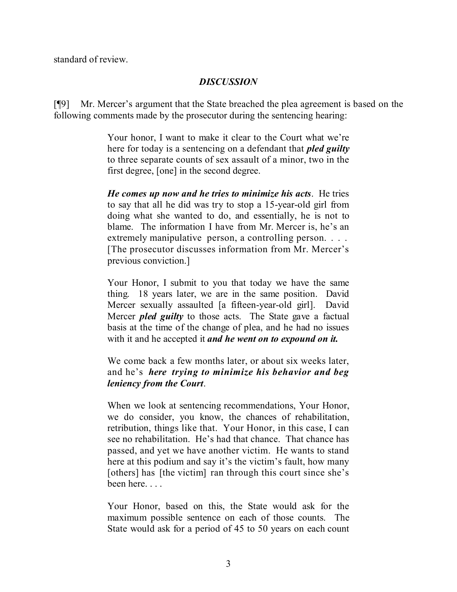standard of review.

# *DISCUSSION*

[¶9] Mr. Mercer's argument that the State breached the plea agreement is based on the following comments made by the prosecutor during the sentencing hearing:

> Your honor, I want to make it clear to the Court what we're here for today is a sentencing on a defendant that *pled guilty* to three separate counts of sex assault of a minor, two in the first degree, [one] in the second degree.

> *He comes up now and he tries to minimize his acts*. He tries to say that all he did was try to stop a 15-year-old girl from doing what she wanted to do, and essentially, he is not to blame. The information I have from Mr. Mercer is, he's an extremely manipulative person, a controlling person. . . . [The prosecutor discusses information from Mr. Mercer's previous conviction.]

> Your Honor, I submit to you that today we have the same thing. 18 years later, we are in the same position. David Mercer sexually assaulted [a fifteen-year-old girl]. David Mercer *pled guilty* to those acts. The State gave a factual basis at the time of the change of plea, and he had no issues with it and he accepted it *and he went on to expound on it.*

> We come back a few months later, or about six weeks later, and he's *here trying to minimize his behavior and beg leniency from the Court*.

> When we look at sentencing recommendations, Your Honor, we do consider, you know, the chances of rehabilitation, retribution, things like that. Your Honor, in this case, I can see no rehabilitation. He's had that chance. That chance has passed, and yet we have another victim. He wants to stand here at this podium and say it's the victim's fault, how many [others] has [the victim] ran through this court since she's been here. . . .

> Your Honor, based on this, the State would ask for the maximum possible sentence on each of those counts. The State would ask for a period of 45 to 50 years on each count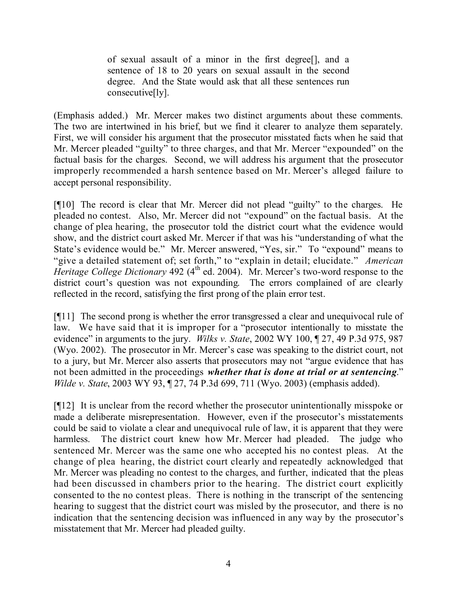of sexual assault of a minor in the first degree[], and a sentence of 18 to 20 years on sexual assault in the second degree. And the State would ask that all these sentences run consecutive[ly].

(Emphasis added.) Mr. Mercer makes two distinct arguments about these comments. The two are intertwined in his brief, but we find it clearer to analyze them separately. First, we will consider his argument that the prosecutor misstated facts when he said that Mr. Mercer pleaded "guilty" to three charges, and that Mr. Mercer "expounded" on the factual basis for the charges. Second, we will address his argument that the prosecutor improperly recommended a harsh sentence based on Mr. Mercer's alleged failure to accept personal responsibility.

[¶10] The record is clear that Mr. Mercer did not plead "guilty" to the charges. He pleaded no contest. Also, Mr. Mercer did not "expound" on the factual basis. At the change of plea hearing, the prosecutor told the district court what the evidence would show, and the district court asked Mr. Mercer if that was his "understanding of what the State's evidence would be." Mr. Mercer answered, "Yes, sir." To "expound" means to "give a detailed statement of; set forth," to "explain in detail; elucidate." *American* Heritage College Dictionary 492 (4<sup>th</sup> ed. 2004). Mr. Mercer's two-word response to the district court's question was not expounding. The errors complained of are clearly reflected in the record, satisfying the first prong of the plain error test.

[¶11] The second prong is whether the error transgressed a clear and unequivocal rule of law. We have said that it is improper for a "prosecutor intentionally to misstate the evidence" in arguments to the jury. *Wilks v. State*, 2002 WY 100, ¶ 27, 49 P.3d 975, 987 (Wyo. 2002). The prosecutor in Mr. Mercer's case was speaking to the district court, not to a jury, but Mr. Mercer also asserts that prosecutors may not "argue evidence that has not been admitted in the proceedings *whether that is done at trial or at sentencing*." *Wilde v. State*, 2003 WY 93, ¶ 27, 74 P.3d 699, 711 (Wyo. 2003) (emphasis added).

[¶12] It is unclear from the record whether the prosecutor unintentionally misspoke or made a deliberate misrepresentation. However, even if the prosecutor's misstatements could be said to violate a clear and unequivocal rule of law, it is apparent that they were harmless. The district court knew how Mr. Mercer had pleaded. The judge who sentenced Mr. Mercer was the same one who accepted his no contest pleas. At the change of plea hearing, the district court clearly and repeatedly acknowledged that Mr. Mercer was pleading no contest to the charges, and further, indicated that the pleas had been discussed in chambers prior to the hearing. The district court explicitly consented to the no contest pleas. There is nothing in the transcript of the sentencing hearing to suggest that the district court was misled by the prosecutor, and there is no indication that the sentencing decision was influenced in any way by the prosecutor's misstatement that Mr. Mercer had pleaded guilty.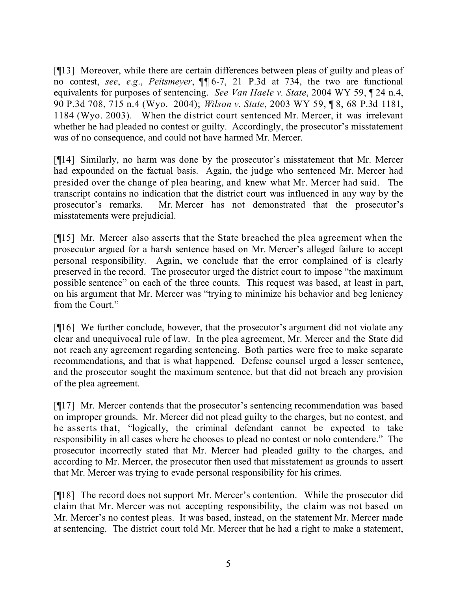[¶13] Moreover, while there are certain differences between pleas of guilty and pleas of no contest, *see*, *e*.*g*., *Peitsmeyer*, ¶¶ 6-7, 21 P.3d at 734, the two are functional equivalents for purposes of sentencing. *See Van Haele v. State*, 2004 WY 59, ¶ 24 n.4, 90 P.3d 708, 715 n.4 (Wyo. 2004); *Wilson v. State*, 2003 WY 59, ¶ 8, 68 P.3d 1181, 1184 (Wyo. 2003). When the district court sentenced Mr. Mercer, it was irrelevant whether he had pleaded no contest or guilty. Accordingly, the prosecutor's misstatement was of no consequence, and could not have harmed Mr. Mercer.

[¶14] Similarly, no harm was done by the prosecutor's misstatement that Mr. Mercer had expounded on the factual basis. Again, the judge who sentenced Mr. Mercer had presided over the change of plea hearing, and knew what Mr. Mercer had said. The transcript contains no indication that the district court was influenced in any way by the prosecutor's remarks. Mr. Mercer has not demonstrated that the prosecutor's misstatements were prejudicial.

[¶15] Mr. Mercer also asserts that the State breached the plea agreement when the prosecutor argued for a harsh sentence based on Mr. Mercer's alleged failure to accept personal responsibility. Again, we conclude that the error complained of is clearly preserved in the record. The prosecutor urged the district court to impose "the maximum possible sentence" on each of the three counts. This request was based, at least in part, on his argument that Mr. Mercer was "trying to minimize his behavior and beg leniency from the Court."

[¶16] We further conclude, however, that the prosecutor's argument did not violate any clear and unequivocal rule of law. In the plea agreement, Mr. Mercer and the State did not reach any agreement regarding sentencing. Both parties were free to make separate recommendations, and that is what happened. Defense counsel urged a lesser sentence, and the prosecutor sought the maximum sentence, but that did not breach any provision of the plea agreement.

[¶17] Mr. Mercer contends that the prosecutor's sentencing recommendation was based on improper grounds. Mr. Mercer did not plead guilty to the charges, but no contest, and he asserts that, "logically, the criminal defendant cannot be expected to take responsibility in all cases where he chooses to plead no contest or nolo contendere." The prosecutor incorrectly stated that Mr. Mercer had pleaded guilty to the charges, and according to Mr. Mercer, the prosecutor then used that misstatement as grounds to assert that Mr. Mercer was trying to evade personal responsibility for his crimes.

[¶18] The record does not support Mr. Mercer's contention. While the prosecutor did claim that Mr. Mercer was not accepting responsibility, the claim was not based on Mr. Mercer's no contest pleas. It was based, instead, on the statement Mr. Mercer made at sentencing. The district court told Mr. Mercer that he had a right to make a statement,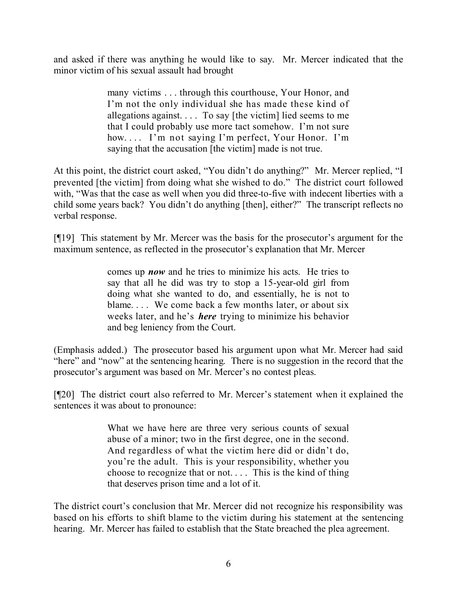and asked if there was anything he would like to say. Mr. Mercer indicated that the minor victim of his sexual assault had brought

> many victims . . . through this courthouse, Your Honor, and I'm not the only individual she has made these kind of allegations against. . . . To say [the victim] lied seems to me that I could probably use more tact somehow. I'm not sure how.... I'm not saying I'm perfect, Your Honor. I'm saying that the accusation [the victim] made is not true.

At this point, the district court asked, "You didn't do anything?" Mr. Mercer replied, "I prevented [the victim] from doing what she wished to do." The district court followed with, "Was that the case as well when you did three-to-five with indecent liberties with a child some years back? You didn't do anything [then], either?" The transcript reflects no verbal response.

[¶19] This statement by Mr. Mercer was the basis for the prosecutor's argument for the maximum sentence, as reflected in the prosecutor's explanation that Mr. Mercer

> comes up *now* and he tries to minimize his acts. He tries to say that all he did was try to stop a 15-year-old girl from doing what she wanted to do, and essentially, he is not to blame.... We come back a few months later, or about six weeks later, and he's *here* trying to minimize his behavior and beg leniency from the Court.

(Emphasis added.) The prosecutor based his argument upon what Mr. Mercer had said "here" and "now" at the sentencing hearing. There is no suggestion in the record that the prosecutor's argument was based on Mr. Mercer's no contest pleas.

[¶20] The district court also referred to Mr. Mercer's statement when it explained the sentences it was about to pronounce:

> What we have here are three very serious counts of sexual abuse of a minor; two in the first degree, one in the second. And regardless of what the victim here did or didn't do, you're the adult. This is your responsibility, whether you choose to recognize that or not. . . . This is the kind of thing that deserves prison time and a lot of it.

The district court's conclusion that Mr. Mercer did not recognize his responsibility was based on his efforts to shift blame to the victim during his statement at the sentencing hearing. Mr. Mercer has failed to establish that the State breached the plea agreement.